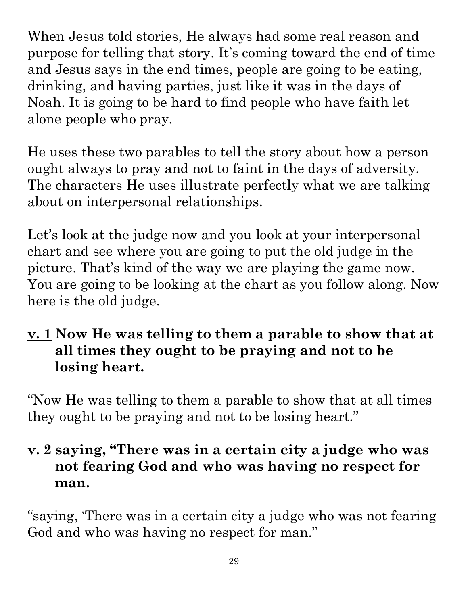When Jesus told stories, He always had some real reason and purpose for telling that story. It's coming toward the end of time and Jesus says in the end times, people are going to be eating, drinking, and having parties, just like it was in the days of Noah. It is going to be hard to find people who have faith let alone people who pray.

He uses these two parables to tell the story about how a person ought always to pray and not to faint in the days of adversity. The characters He uses illustrate perfectly what we are talking about on interpersonal relationships.

Let's look at the judge now and you look at your interpersonal chart and see where you are going to put the old judge in the picture. That's kind of the way we are playing the game now. You are going to be looking at the chart as you follow along. Now  $|\vec{r}|$ here is the old judge. drinking, and having partics, just like it was in the days of<br>
Noah. It is going to be hard to find people who have faith let<br>
alone people who pray.<br>
He uses these two parahles to tell the story about how a person and<br>
o

**v. 1 Now He was telling to them a parable to show that at all times they ought to be praying and not to be losing heart.**

"Now He was telling to them a parable to show that at all times they ought to be praying and not to be losing heart."

## **v. 2 saying, "There was in a certain city a judge who was not fearing God and who was having no respect for man.**

God and who was having no respect for man."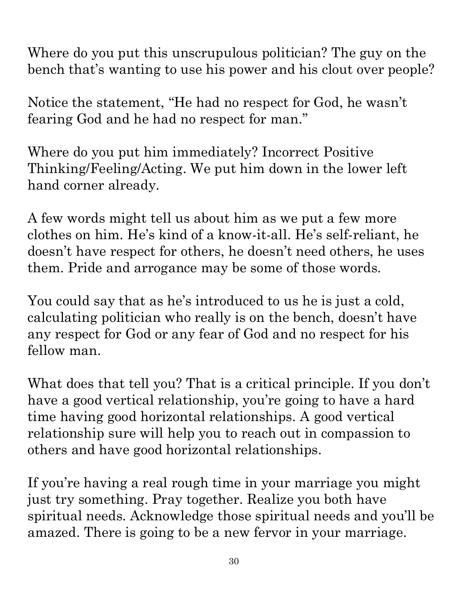Quotations particularly reside within the realm of fair use. It is the nature of teacher notes to contain references that may prove difficult to accuratel paraphrased and summarized material from a attribute. Any use of material without proper citation is unintentional. Teacher notes have been compiled by Ronnie Marroquin.Quotations particularly reside within the realm of fair use. It is the nature of teacher notes to contain references that may prove difficult to accurately Copyright © 2022 by Bible Teaching Resources by Don Anderson Ministries. The author's teacher notes incorporate quoted,<br>paraphrased and summarized material from a variety of sources, all of which have been appropriately cr paraphrased and summarized material from a variety of sources, all of which have been appropriately credited to the best of our ability. Copyright © 2022 by Bible Teaching Resources by Don Anderson Ministries. The author's teacher notes incorporate quoted,

Where do you put this unscrupulous politician? The guy on the bench that's wanting to use his power and his clout over people?

Notice the statement, "He had no respect for God, he wasn't fearing God and he had no respect for man."

Where do you put him immediately? Incorrect Positive Thinking/Feeling/Acting. We put him down in the lower left hand corner already.

A few words might tell us about him as we put a few more clothes on him. He's kind of a know-it-all. He's self-reliant, he doesn't have respect for others, he doesn't need others, he uses them. Pride and arrogance may be some of those words.

You could say that as he's introduced to us he is just a cold, calculating politician who really is on the bench, doesn't have any respect for God or any fear of God and no respect for his fellow man.

Notice the statement, "He had no respect for God, he wasn't<br>
fearing God and he had no respect for man."<br>
Where do you put him immediately? Incorrect Positive<br>
Thinking/Feeling/Acting. We put him down in the lower left<br>
ha have a good vertical relationship, you're going to have a hard time having good horizontal relationships. A good vertical relationship sure will help you to reach out in compassion to others and have good horizontal relationships.

If you're having a real rough time in your marriage you might just try something. Pray together. Realize you both have spiritual needs. Acknowledge those spiritual needs and you'll be amazed. There is going to be a new fervor in your marriage.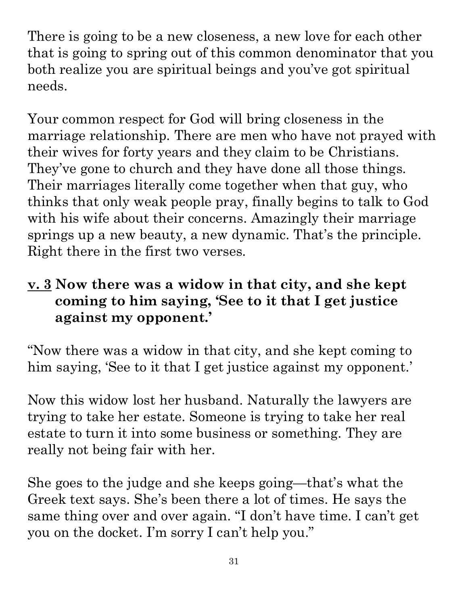There is going to be a new closeness, a new love for each other that is going to spring out of this common denominator that you both realize you are spiritual beings and you've got spiritual needs.

Your common respect for God will bring closeness in the marriage relationship. There are men who have not prayed with their wives for forty years and they claim to be Christians. They've gone to church and they have done all those things. Their marriages literally come together when that guy, who their wives for forty years and they claim to be Christians.<br>
They've gone to church and they have done all those things.<br>
Their marriages literally come together when that guy, who<br>
thinks that only weak people pray, fin with his wife about their concerns. Amazingly their marriage springs up a new beauty, a new dynamic. That's the principle. Right there in the first two verses.

#### **v. 3 Now there was a widow in that city, and she kept coming to him saying, 'See to it that I get justice against my opponent.'**

"Now there was a widow in that city, and she kept coming to him saying, 'See to it that I get justice against my opponent.'

Now this widow lost her husband. Naturally the lawyers are trying to take her estate. Someone is trying to take her real estate to turn it into some business or something. They are really not being fair with her.

She goes to the judge and she keeps going—that's what the Greek text says. She's been there a lot of times. He says the same thing over and over again. "I don't have time. I can't get you on the docket. I'm sorry I can't help you."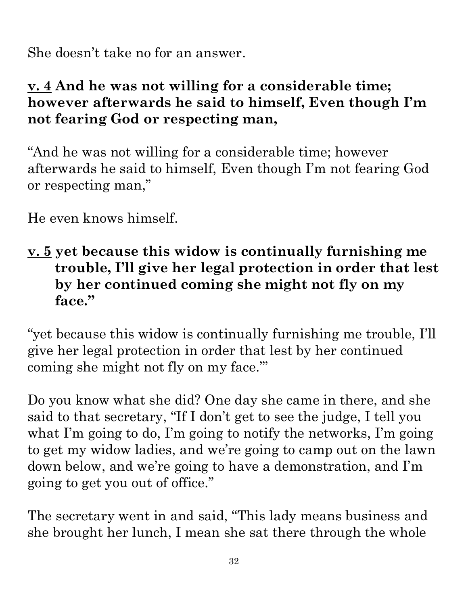Quotations particularly reside within the realm of Quotations particularly reside within the realm of fair use. It is the nature of teacher notes to contain references that may prove difficult to accurately paraphrased and paraphrased and summarized material from a variety of sources, all of which have been appropriately credited to the best of our ability. Copyright © 2022 by Bible Copyright © 2022 by Bible Teaching Resources by Don Anderson Ministries. The author's teacher notes incorporate quoted, summarized material from **Teaching Resources**  $\overline{\omega}$ variety of by Don Anderson Ministries. . Tall USe all of which have been The author's teacher notes incorporate quoted dpropriately to the best of our ability.

She doesn't take no for an answer.

#### **v. 4 And he was not willing for a considerable time; however afterwards he said to himself, Even though I'm not fearing God or respecting man,**

"And he was not willing for a considerable time; however <u>v. 4</u> And he was not willing for a considerable time;<br>however afterwards he said to himself, Even though I'm not fearing God or respecting man,<br>"And he was not willing for a considerable time; however<br>afterwards he said or respecting man,"

He even knows himself.

#### **v. 5 yet because this widow is continually furnishing me**  trouble, I'll give her legal protection in order that lest by her continued coming she might not fly on my **by her continued coming she might not fly on my face."**

"yet because this widow is continually furnishing me trouble,  $\prod_{k=1}^{\infty}$ give her legal protection in order that lest by her continued coming she might not fly on my face."'

Do you know what she did? One day she came in there, and she said to that secretary, "If I don't get to see the judge, I tell you what I'm going to do, I'm going to notify the networks, I'm going to get my widow ladies, and we're going to camp out on the lawn<sup>3</sup> down below, and we're going to have a demonstration, and I'm going to get you out of office." attribute. Any use of material without proper citation is unintentional. Teacher notes have been compiled by Ronnie Marroquin.

The secretary went in and said, "This lady means business and she brought her lunch, I mean she sat there through the whole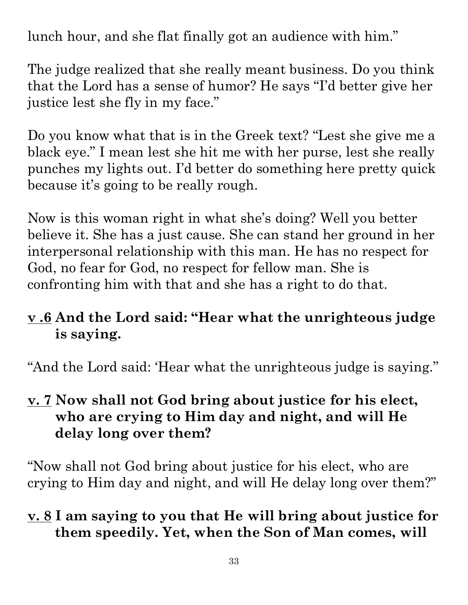lunch hour, and she flat finally got an audience with him."

The judge realized that she really meant business. Do you think that the Lord has a sense of humor? He says "I'd better give her Quotations particular justice lest she fly in my face."

attribute. Any use of material without proper citation is unintentional. Teacher notes have been compiled by Ronnie Marroquin.Do you know what that is in the Greek text? "Lest she give me a black eye." I mean lest she hit me with her purse, lest she really punches my lights out. I'd better do something here pretty quick because it's going to be really rough. proper

Now is this woman right in what she's doing? Well you better believe it. She has a just cause. She can stand her ground in her interpersonal relationship with this man. He has no respect for  $\frac{1}{3}$ <br>God, no fear for God, no respect for fellow man. She is God, no fear for God, no respect for fellow man. She is confronting him with that and she has a right to do that.

# **confronting nim with that and she has a right to do that.**<br><u>**v** .6</u> And the Lord said: "Hear what the unrighteous judge **is saying.**

"And the Lord said: 'Hear what the unrighteous judge is saying."

#### **v. 7 Now shall not God bring about justice for his elect, who are crying to Him day and night, and will He delay long over them?**

"Now shall not God bring about justice for his elect, who are crying to Him day and night, and will He delay long over them?"

## **v. 8 I am saying to you that He will bring about justice for them speedily. Yet, when the Son of Man comes, will**

Copyright<sup>©</sup>

2022

by Bible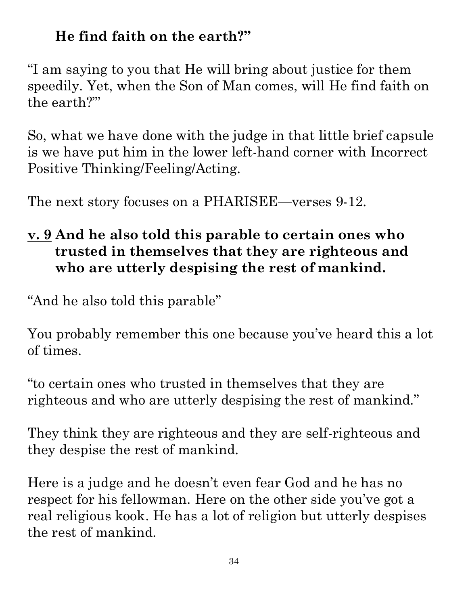## **He find faith on the earth?"**

"I am saying to you that He will bring about justice for them speedily. Yet, when the Son of Man comes, will He find faith on the earth?"'

So, what we have done with the judge in that little brief capsules is we have put him in the lower left-hand corner with Incorrect Positive Thinking/Feeling/Acting.

The next story focuses on a PHARISEE—verses 9-12.

**v. 9 And he also told this parable to certain ones who trusted in themselves that they are righteous and who are utterly despising the rest of mankind.**  is we have put him in the lower left-hand corner with Incorrect  $\frac{1}{2}$ <br>
Positive Thinking/Feeling/Acting.<br>
The next story focuses on a PHARISEE—verses 9-12.<br>  $\frac{1}{2}$ <br>  $\frac{1}{2}$ <br>  $\frac{1}{2}$ <br>  $\frac{1}{2}$ <br>  $\frac{1}{2}$ <br>  $\frac{1$ 

"And he also told this parable"

of times.

"to certain ones who trusted in themselves that they are righteous and who are utterly despising the rest of mankind."

They think they are righteous and they are self-righteous and they despise the rest of mankind.

Here is a judge and he doesn't even fear God and he has no respect for his fellowman. Here on the other side you've got a real religious kook. He has a lot of religion but utterly despises the rest of mankind.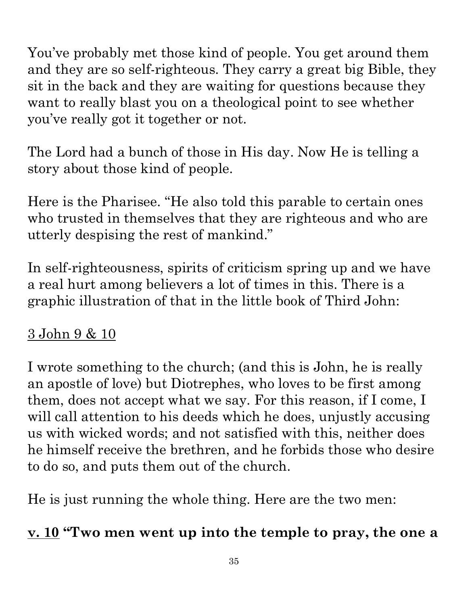You've probably met those kind of people. You get around them and they are so self-righteous. They carry a great big Bible, they sit in the back and they are waiting for questions because they want to really blast you on a theological point to see whether you've really got it together or not.

The Lord had a bunch of those in His day. Now He is telling a story about those kind of people.

Here is the Pharisee. "He also told this parable to certain ones sit in the back and they are waiting for questions because they<br>
yeant to really blast you on a theological point to see whether<br>
you've really got it together or not.<br>
The Lord had a bunch of those in His day. Now He is utterly despising the rest of mankind."

In self-righteousness, spirits of criticism spring up and we have a real hurt among believers a lot of times in this. There is a graphic illustration of that in the little book of Third John:

## 3 John 9 & 10

I wrote something to the church; (and this is John, he is really an apostle of love) but Diotrephes, who loves to be first among them, does not accept what we say. For this reason, if I come, I will call attention to his deeds which he does, unjustly accusing  $\frac{3}{8}$ us with wicked words; and not satisfied with this, neither does he himself receive the brethren, and he forbids those who desire $\frac{8}{5}$ to do so, and puts them out of the church.

He is just running the whole thing. Here are the two men:

## **v. 10 "Two men went up into the temple to pray, the one a**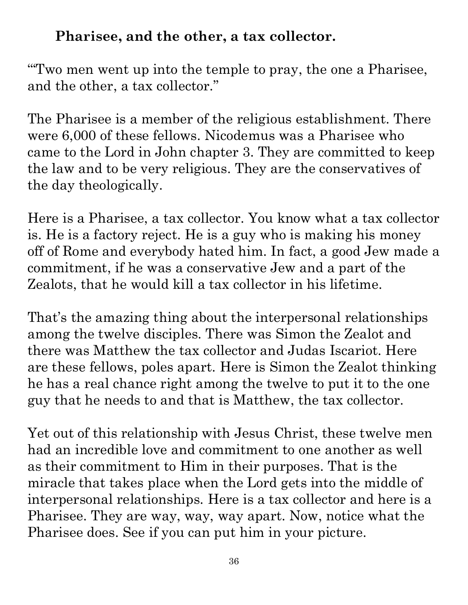attribute.

#### **Pharisee, and the other, a tax collector.**

'"Two men went up into the temple to pray, the one a Pharisee, and the other, a tax collector."

The Pharisee is a member of the religious establishment. There  $\frac{3}{8}$ were 6,000 of these fellows. Nicodemus was a Pharisee who came to the Lord in John chapter 3. They are committed to keep the law and to be very religious. They are the conservatives of the day theologically.

Here is a Pharisee, a tax collector. You know what a tax collector  $\mid$ is. He is a factory reject. He is a guy who is making his money off of Rome and everybody hated him. In fact, a good Jew made  $\bar{\tilde{\mathbf{a}}}$  : commitment, if he was a conservative Jew and a part of the Zealots, that he would kill a tax collector in his lifetime.

That's the amazing thing about the interpersonal relationships among the twelve disciples. There was Simon the Zealot and there was Matthew the tax collector and Judas Iscariot. Here are these fellows, poles apart. Here is Simon the Zealot thinking he has a real chance right among the twelve to put it to the one guy that he needs to and that is Matthew, the tax collector. attribute. Any use of material without proper citation is unintentional. Teacher notes have been compiled by Ronnie Marroquin.

Yet out of this relationship with Jesus Christ, these twelve men had an incredible love and commitment to one another as well as their commitment to Him in their purposes. That is the miracle that takes place when the Lord gets into the middle of interpersonal relationships. Here is a tax collector and here is a Pharisee. They are way, way, way apart. Now, notice what the Pharisee does. See if you can put him in your picture.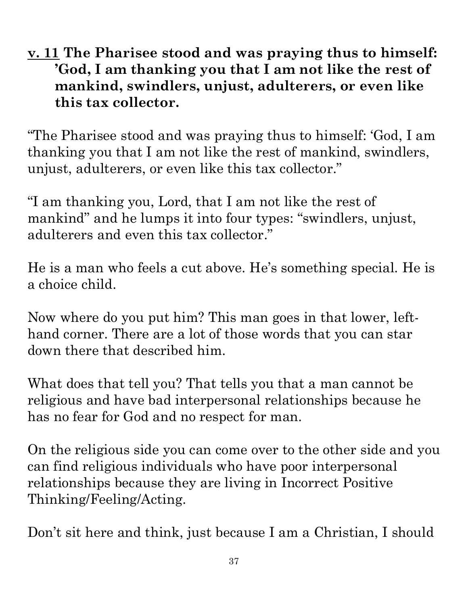**v. 11 The Pharisee stood and was praying thus to himself: 'God, I am thanking you that I am not like the rest of mankind, swindlers, unjust, adulterers, or even like**  attribute. **this tax collector.** . Any

"The Pharisee stood and was praying thus to himself: 'God, I am thanking you that I am not like the rest of mankind, swindlers, unjust, adulterers, or even like this tax collector."

"I am thanking you, Lord, that I am not like the rest of mankind" and he lumps it into four types: "swindlers, unjust, adulterers and even this tax collector."

He is a man who feels a cut above. He's something special. He is a choice child.

Now where do you put him? This man goes in that lower, lefthand corner. There are a lot of those words that you can star down there that described him.

What does that tell you? That tells you that a man cannot be religious and have bad interpersonal relationships because he has no fear for God and no respect for man.

On the religious side you can come over to the other side and you can find religious individuals who have poor interpersonal relationships because they are living in Incorrect Positive Thinking/Feeling/Acting.

Don't sit here and think, just because I am a Christian, I should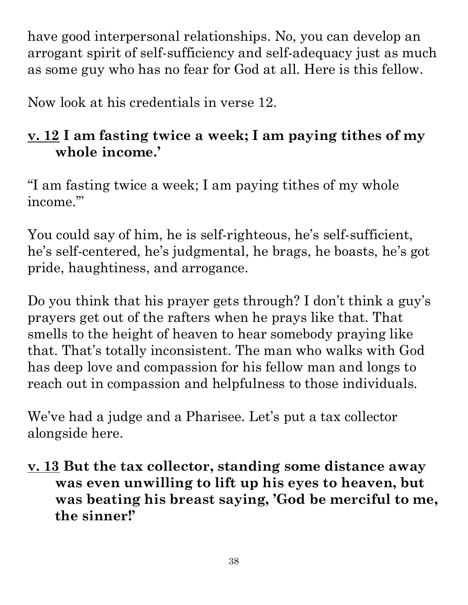have good interpersonal relationships. No, you can develop an arrogant spirit of self-sufficiency and self-adequacy just as much as some guy who has no fear for God at all. Here is this fellow.

Now look at his credentials in verse 12.

#### **v. 12 I am fasting twice a week; I am paying tithes of my whole income.'**

"I am fasting twice a week; I am paying tithes of my whole income.'"

You could say of him, he is self-righteous, he's self-sufficient, pride, haughtiness, and arrogance.

Now look at his credentials in verse 12.<br>  $\underline{\mathbf{v}}$ . 12 I am fasting twice a week; I am paying tithes of my<br>
"The measure."<br>
"The find twice a week; I am paying tithes of my whole<br>
income."<br>
"The find twice a week; I am Do you think that his prayer gets through? I don't think a guy's prayers get out of the rafters when he prays like that. That smells to the height of heaven to hear somebody praying like that. That's totally inconsistent. The man who walks with God has deep love and compassion for his fellow man and longs to reach out in compassion and helpfulness to those individuals. **Example 1** look at his credentials in verse 12.<br> **Example 12.**<br> **Whole income.'**<br> **whole income.'**<br> **whole income.'**<br> **whole income.'**<br> **m** fasting twice a week; 1 am paying tithes of my whole<br> **me.''**<br>
could say of him,

We've had a judge and a Pharisee. Let's put a tax collector alongside here.

**v. 13 But the tax collector, standing some distance away was even unwilling to lift up his eyes to heaven, but the sinner!'**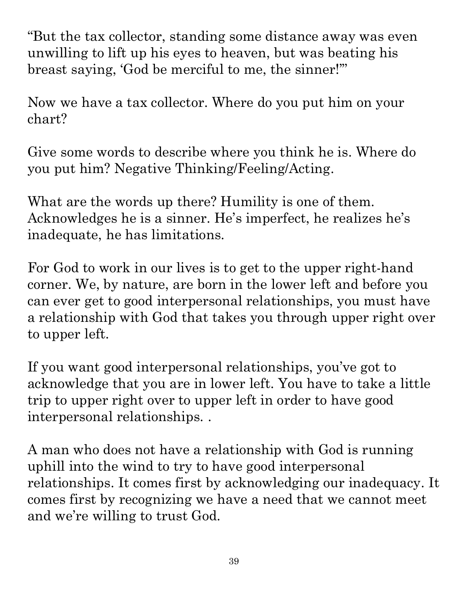"But the tax collector, standing some distance away was even unwilling to lift up his eyes to heaven, but was beating his breast saying, 'God be merciful to me, the sinner!'"

Now we have a tax collector. Where do you put him on your chart?

Give some words to describe where you think he is. Where do you put him? Negative Thinking/Feeling/Acting.

What are the words up there? Humility is one of them. Acknowledges he is a sinner. He's imperfect, he realizes he's inadequate, he has limitations.

For God to work in our lives is to get to the upper right-hand corner. We, by nature, are born in the lower left and before you can ever get to good interpersonal relationships, you must have a relationship with God that takes you through upper right over to upper left.

If you want good interpersonal relationships, you've got to acknowledge that you are in lower left. You have to take a little trip to upper right over to upper left in order to have good interpersonal relationships. .

A man who does not have a relationship with God is running uphill into the wind to try to have good interpersonal Now we have a tax collector. Where do you put him on your chart?<br>
Give some words to describe where you think he is. Where do<br>
you put him? Negative Thinking/Feeling/Acting.<br>
What are the words up there? Humility is one o comes first by recognizing we have a need that we cannot meet and we're willing to trust God.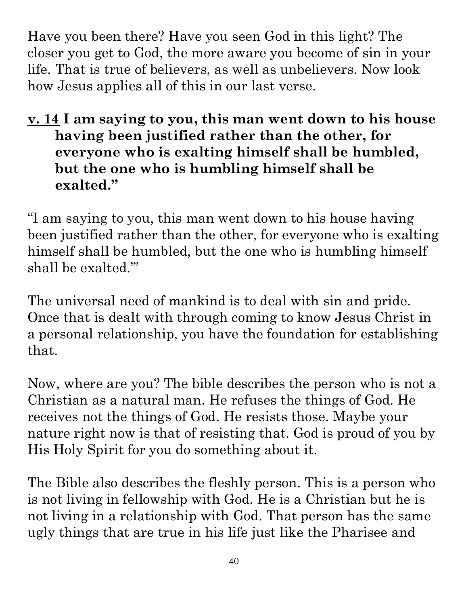Have you been there? Have you seen God in this light? The closer you get to God, the more aware you become of sin in your life. That is true of believers, as well as unbelievers. Now look how Jesus applies all of this in our last verse.

**v. 14 I am saying to you, this man went down to his house having been justified rather than the other, for everyone who is exalting himself shall be humbled, but the one who is humbling himself shall be exalted."**  attribute. Any use of material without proper citation is unintentional. Teacher notes have been compiled by Ronnie Marroquin.

"I am saying to you, this man went down to his house having been justified rather than the other, for everyone who is exalting unintentional himself shall be humbled, but the one who is humbling himself shall be exalted."'

Copyright © 2022 by Bible Teaching Resources by Don Anderson Ministries. The author's teacher notes incorporate quoted,

by Don Anderson Ministries

paraphrased and summarized material from a variety of sources, all of which have been appropriately credited to the best of our ability.

all of which have been appropriately credited to the best of our ability The author's teacher notes incorporate quoted

variety of sources.

paraphrased and summarized material

l from  $\overline{\omega}$  Copyright © 2022 by Bible Teaching Resources

attribute

Quotations particularly reside within the realm of fair use. It is the nature of teacher notes to contain references that may prove difficult to accurately

The universal need of mankind is to deal with sin and pride. Once that is dealt with through coming to know Jesus Christ in a personal relationship, you have the foundation for establishing that.

Now, where are you? The bible describes the person who is not  $\vec{\mathcal{A}}$ Christian as a natural man. He refuses the things of God. He receives not the things of God. He resists those. Maybe your nature right now is that of resisting that. God is proud of you by His Holy Spirit for you do something about it. Once that is dealt with through coming to know Jesus Christ in a personal relationship, you have the foundation for establishing a personal relationship, you have the foundation for establishing that.<br>
Now, where are you?

is not living in fellowship with God. He is a Christian but he is not living in a relationship with God. That person has the same ugly things that are true in his life just like the Pharisee and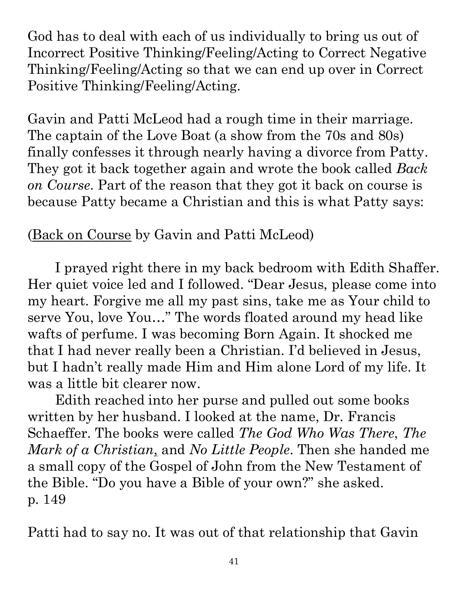God has to deal with each of us individually to bring us out of Incorrect Positive Thinking/Feeling/Acting to Correct Negative Thinking/Feeling/Acting so that we can end up over in Correct Positive Thinking/Feeling/Acting.

Gavin and Patti McLeod had a rough time in their marriage. The captain of the Love Boat (a show from the 70s and 80s) finally confesses it through nearly having a divorce from Patty. They got it back together again and wrote the book called *Back on Course*. Part of the reason that they got it back on course is because Patty became a Christian and this is what Patty says:

## (Back on Course by Gavin and Patti McLeod)

I prayed right there in my back bedroom with Edith Shaffer. Her quiet voice led and I followed. "Dear Jesus, please come into  $\frac{8}{3}$  my heart. Forgive me all my past sins, take me as Your child to serve You, love You..." The words floated around my head like wafts of perfume. I my heart. Forgive me all my past sins, take me as Your child to serve You, love You…" The words floated around my head like wafts of perfume. I was becoming Born Again. It shocked me that I had never really been a Christian. I'd believed in Jesus, but I hadn't really made Him and Him alone Lord of my life. It was a little bit clearer now.

Edith reached into her purse and pulled out some books written by her husband. I looked at the name, Dr. Francis Schaeffer. The books were called *The God Who Was There*, *The*  watts of pertume. I was becoming Born Again. It shocked me<br>that I had never really been a Christian. I'd believed in Jesus,<br>but I hadn't really made Him and Him alone Lord of my life. It<br>was a little bit clearer now.<br>Edit a small copy of the Gospel of John from the New Testament of the Bible. "Do you have a Bible of your own?" she asked. p. 149

Patti had to say no. It was out of that relationship that Gavin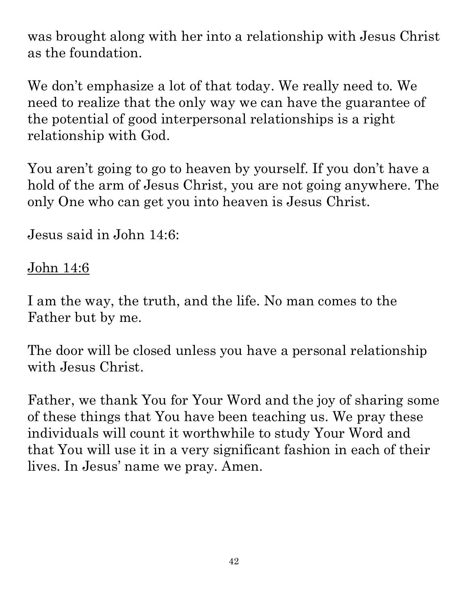paraphrased and summarized material from a variety of attribute. Any use of material without proper citation is unintentional. Teacher notes have been compiled by Ronnie Marroquin.Quotations particularly reside within the realm of fair use. It is the nature of teacher notes to contain references that may prove difficult to accurately paraphrased and summarized material from a variety of sources, all of which have been appropriately credited to the best of our ability. Copyright © 2022 by Bible Teaching Resources by Don Anderson Ministries. The author's teacher notes incorporate quoted Copyright © 2022 by Bible Teaching Resources by Don Anderson Ministries. The author's teacher notes incorporate quoted, sources all of which have been appropriately credited to the best of our ability

was brought along with her into a relationship with Jesus Christ as the foundation.

We don't emphasize a lot of that today. We really need to. We need to realize that the only way we can have the guarantee of the potential of good interpersonal relationships is a right relationship with God.

You aren't going to go to heaven by yourself. If you don't have a hold of the arm of Jesus Christ, you are not going anywhere. The only One who can get you into heaven is Jesus Christ.

Jesus said in John 14:6:

<u>John 14:6</u>

I am the way, the truth, and the life. No man comes to the Father but by me.

The door will be closed unless you have a personal relationship with Jesus Christ.

Father, we thank You for Your Word and the joy of sharing some of these things that You have been teaching us. We pray these individuals will count it worthwhile to study Your Word and individuals will count it worthwhile to study Your Word and that You will use it in a very significant fashion in each of their lives. In Jesus' name we pray. Amen.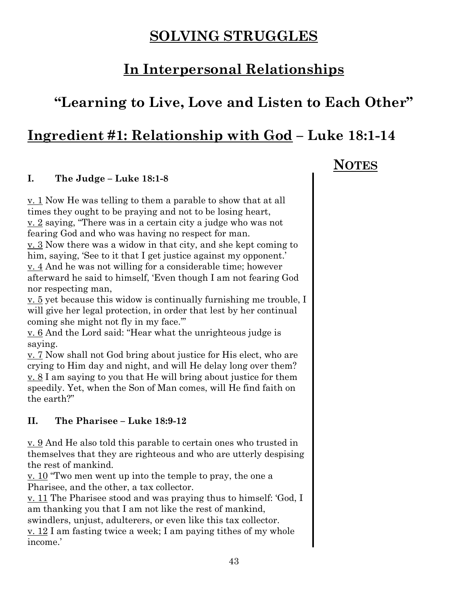#### **SOLVING STRUGGLES**

#### **In Interpersonal Relationships**

#### **"Learning to Live, Love and Listen to Each Other"**

#### **Ingredient #1: Relationship with God – Luke 18:1-14**

#### **I. The Judge – Luke 18:1-8**

v. 1 Now He was telling to them a parable to show that at all times they ought to be praying and not to be losing heart, v. 2 saying, "There was in a certain city a judge who was not fearing God and who was having no respect for man.

v. 3 Now there was a widow in that city, and she kept coming to him, saying, 'See to it that I get justice against my opponent.' v. 4 And he was not willing for a considerable time; however afterward he said to himself, 'Even though I am not fearing God nor respecting man,

v. 5 yet because this widow is continually furnishing me trouble, I will give her legal protection, in order that lest by her continual coming she might not fly in my face.'"

v. 6 And the Lord said: "Hear what the unrighteous judge is saying.

v. 7 Now shall not God bring about justice for His elect, who are crying to Him day and night, and will He delay long over them? v. 8 I am saying to you that He will bring about justice for them speedily. Yet, when the Son of Man comes, will He find faith on the earth?"

#### **II. The Pharisee – Luke 18:9-12**

v. 9 And He also told this parable to certain ones who trusted in themselves that they are righteous and who are utterly despising the rest of mankind.

v. 10 "Two men went up into the temple to pray, the one a Pharisee, and the other, a tax collector.

v. 11 The Pharisee stood and was praying thus to himself: 'God, I am thanking you that I am not like the rest of mankind,

swindlers, unjust, adulterers, or even like this tax collector.

v. 12 I am fasting twice a week; I am paying tithes of my whole income.'

 **NOTES**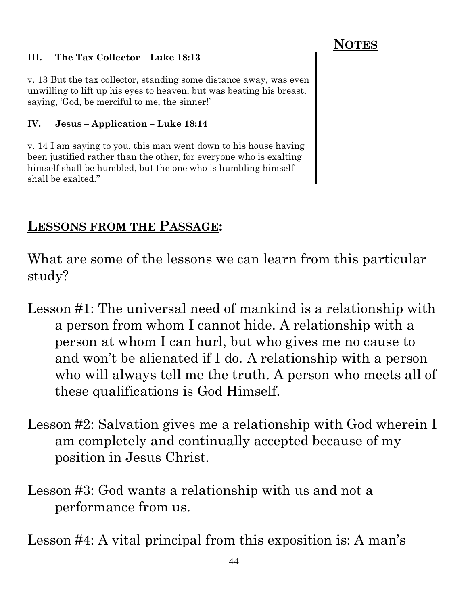#### **III. The Tax Collector – Luke 18:13**

v. 13 But the tax collector, standing some distance away, was even unwilling to lift up his eyes to heaven, but was beating his breast, saying, 'God, be merciful to me, the sinner!'

#### **IV. Jesus – Application – Luke 18:14**

<u>v. 14</u> I am saying to you, this man went down to his house having been justified rather than the other, for everyone who is exalting himself shall be humbled, but the one who is humbling himself shall be exalted."

#### **LESSONS FROM THE PASSAGE:**

What are some of the lessons we can learn from this particular study?

- Lesson #1: The universal need of mankind is a relationship with a person from whom I cannot hide. A relationship with a person at whom I can hurl, but who gives me no cause to and won't be alienated if I do. A relationship with a person who will always tell me the truth. A person who meets all  $\sigma$ these qualifications is God Himself.
- Lesson #2: Salvation gives me a relationship with God wherein  $\mathbb E$ am completely and continually accepted because of my position in Jesus Christ.
- Lesson #3: God wants a relationship with us and not a performance from us.

Lesson #4: A vital principal from this exposition is: A man's